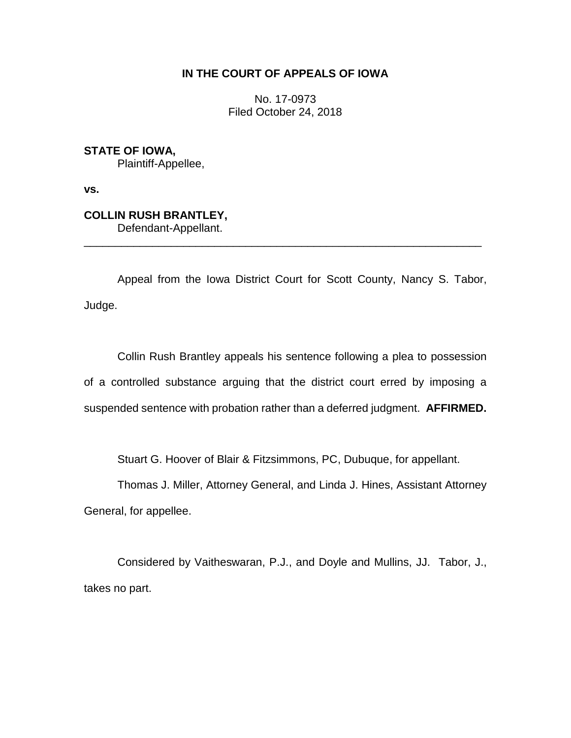## **IN THE COURT OF APPEALS OF IOWA**

No. 17-0973 Filed October 24, 2018

**STATE OF IOWA,**

Plaintiff-Appellee,

**vs.**

## **COLLIN RUSH BRANTLEY,**

Defendant-Appellant.

Appeal from the Iowa District Court for Scott County, Nancy S. Tabor, Judge.

\_\_\_\_\_\_\_\_\_\_\_\_\_\_\_\_\_\_\_\_\_\_\_\_\_\_\_\_\_\_\_\_\_\_\_\_\_\_\_\_\_\_\_\_\_\_\_\_\_\_\_\_\_\_\_\_\_\_\_\_\_\_\_\_

Collin Rush Brantley appeals his sentence following a plea to possession of a controlled substance arguing that the district court erred by imposing a suspended sentence with probation rather than a deferred judgment. **AFFIRMED.**

Stuart G. Hoover of Blair & Fitzsimmons, PC, Dubuque, for appellant.

Thomas J. Miller, Attorney General, and Linda J. Hines, Assistant Attorney General, for appellee.

Considered by Vaitheswaran, P.J., and Doyle and Mullins, JJ. Tabor, J., takes no part.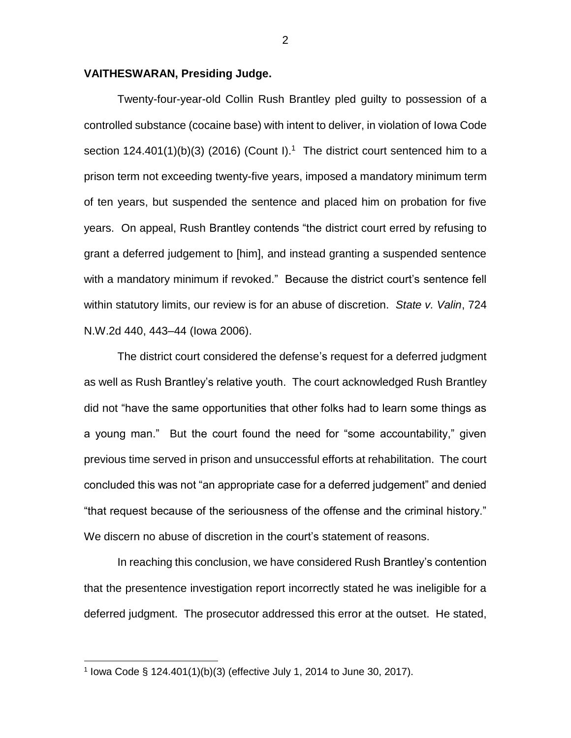## **VAITHESWARAN, Presiding Judge.**

Twenty-four-year-old Collin Rush Brantley pled guilty to possession of a controlled substance (cocaine base) with intent to deliver, in violation of Iowa Code section 124.401(1)(b)(3) (2016) (Count I).<sup>1</sup> The district court sentenced him to a prison term not exceeding twenty-five years, imposed a mandatory minimum term of ten years, but suspended the sentence and placed him on probation for five years. On appeal, Rush Brantley contends "the district court erred by refusing to grant a deferred judgement to [him], and instead granting a suspended sentence with a mandatory minimum if revoked." Because the district court's sentence fell within statutory limits, our review is for an abuse of discretion. *State v. Valin*, 724 N.W.2d 440, 443–44 (Iowa 2006).

The district court considered the defense's request for a deferred judgment as well as Rush Brantley's relative youth. The court acknowledged Rush Brantley did not "have the same opportunities that other folks had to learn some things as a young man." But the court found the need for "some accountability," given previous time served in prison and unsuccessful efforts at rehabilitation. The court concluded this was not "an appropriate case for a deferred judgement" and denied "that request because of the seriousness of the offense and the criminal history." We discern no abuse of discretion in the court's statement of reasons.

In reaching this conclusion, we have considered Rush Brantley's contention that the presentence investigation report incorrectly stated he was ineligible for a deferred judgment. The prosecutor addressed this error at the outset. He stated,

 $\overline{a}$ 

<sup>&</sup>lt;sup>1</sup> lowa Code § 124.401(1)(b)(3) (effective July 1, 2014 to June 30, 2017).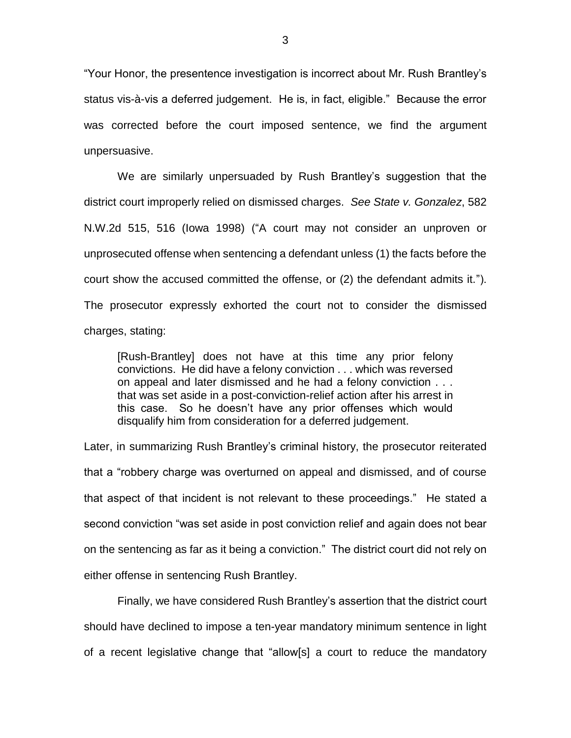"Your Honor, the presentence investigation is incorrect about Mr. Rush Brantley's status vis-à-vis a deferred judgement. He is, in fact, eligible." Because the error was corrected before the court imposed sentence, we find the argument unpersuasive.

We are similarly unpersuaded by Rush Brantley's suggestion that the district court improperly relied on dismissed charges. *See State v. Gonzalez*, 582 N.W.2d 515, 516 (Iowa 1998) ("A court may not consider an unproven or unprosecuted offense when sentencing a defendant unless (1) the facts before the court show the accused committed the offense, or (2) the defendant admits it."). The prosecutor expressly exhorted the court not to consider the dismissed charges, stating:

[Rush-Brantley] does not have at this time any prior felony convictions. He did have a felony conviction . . . which was reversed on appeal and later dismissed and he had a felony conviction . . . that was set aside in a post-conviction-relief action after his arrest in this case. So he doesn't have any prior offenses which would disqualify him from consideration for a deferred judgement.

Later, in summarizing Rush Brantley's criminal history, the prosecutor reiterated that a "robbery charge was overturned on appeal and dismissed, and of course that aspect of that incident is not relevant to these proceedings." He stated a second conviction "was set aside in post conviction relief and again does not bear on the sentencing as far as it being a conviction." The district court did not rely on either offense in sentencing Rush Brantley.

Finally, we have considered Rush Brantley's assertion that the district court should have declined to impose a ten-year mandatory minimum sentence in light of a recent legislative change that "allow[s] a court to reduce the mandatory